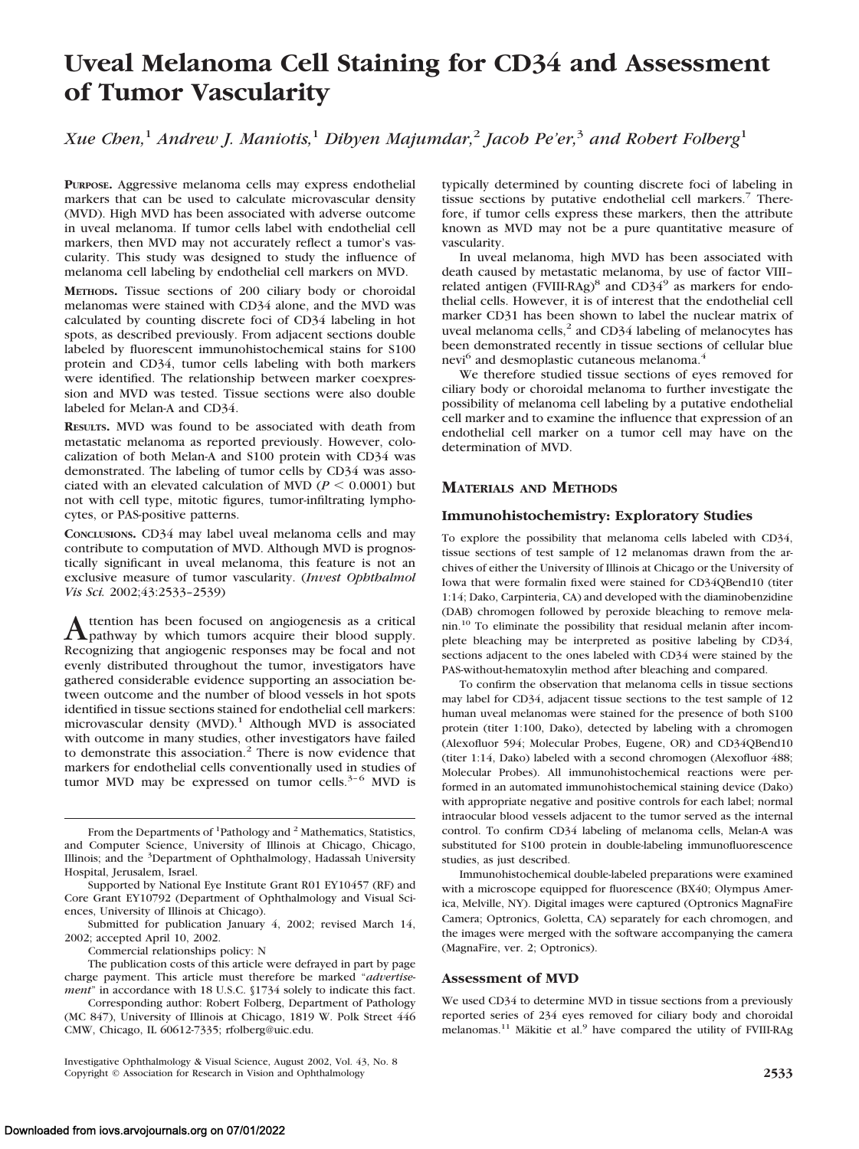# **Uveal Melanoma Cell Staining for CD34 and Assessment of Tumor Vascularity**

*Xue Chen,*<sup>1</sup> *Andrew J. Maniotis,*<sup>1</sup> *Dibyen Majumdar,*<sup>2</sup> *Jacob Pe'er,*<sup>3</sup> *and Robert Folberg*<sup>1</sup>

**PURPOSE.** Aggressive melanoma cells may express endothelial markers that can be used to calculate microvascular density (MVD). High MVD has been associated with adverse outcome in uveal melanoma. If tumor cells label with endothelial cell markers, then MVD may not accurately reflect a tumor's vascularity. This study was designed to study the influence of melanoma cell labeling by endothelial cell markers on MVD.

**METHODS.** Tissue sections of 200 ciliary body or choroidal melanomas were stained with CD34 alone, and the MVD was calculated by counting discrete foci of CD34 labeling in hot spots, as described previously. From adjacent sections double labeled by fluorescent immunohistochemical stains for S100 protein and CD34, tumor cells labeling with both markers were identified. The relationship between marker coexpression and MVD was tested. Tissue sections were also double labeled for Melan-A and CD34.

**RESULTS.** MVD was found to be associated with death from metastatic melanoma as reported previously. However, colocalization of both Melan-A and S100 protein with CD34 was demonstrated. The labeling of tumor cells by CD34 was associated with an elevated calculation of MVD ( $P \leq 0.0001$ ) but not with cell type, mitotic figures, tumor-infiltrating lymphocytes, or PAS-positive patterns.

**CONCLUSIONS.** CD34 may label uveal melanoma cells and may contribute to computation of MVD. Although MVD is prognostically significant in uveal melanoma, this feature is not an exclusive measure of tumor vascularity. (*Invest Ophthalmol Vis Sci.* 2002;43:2533–2539)

Attention has been focused on angiogenesis as a critical pathway by which tumors acquire their blood supply. Recognizing that angiogenic responses may be focal and not evenly distributed throughout the tumor, investigators have gathered considerable evidence supporting an association between outcome and the number of blood vessels in hot spots identified in tissue sections stained for endothelial cell markers: microvascular density  $(MVD)$ .<sup>1</sup> Although MVD is associated with outcome in many studies, other investigators have failed to demonstrate this association.<sup>2</sup> There is now evidence that markers for endothelial cells conventionally used in studies of tumor MVD may be expressed on tumor cells. $3-6$  MVD is

From the Departments of <sup>1</sup>Pathology and <sup>2</sup> Mathematics, Statistics, and Computer Science, University of Illinois at Chicago, Chicago, Illinois; and the <sup>3</sup>Department of Ophthalmology, Hadassah University Hospital, Jerusalem, Israel.

Supported by National Eye Institute Grant R01 EY10457 (RF) and Core Grant EY10792 (Department of Ophthalmology and Visual Sciences, University of Illinois at Chicago).

Submitted for publication January 4, 2002; revised March 14, 2002; accepted April 10, 2002.

Commercial relationships policy: N

The publication costs of this article were defrayed in part by page charge payment. This article must therefore be marked "*advertisement*" in accordance with 18 U.S.C. §1734 solely to indicate this fact.

Corresponding author: Robert Folberg, Department of Pathology (MC 847), University of Illinois at Chicago, 1819 W. Polk Street 446 CMW, Chicago, IL 60612-7335; rfolberg@uic.edu.

typically determined by counting discrete foci of labeling in tissue sections by putative endothelial cell markers.<sup>7</sup> Therefore, if tumor cells express these markers, then the attribute known as MVD may not be a pure quantitative measure of vascularity.

In uveal melanoma, high MVD has been associated with death caused by metastatic melanoma, by use of factor VIII– related antigen (FVIII-RAg)<sup>8</sup> and CD34<sup>9</sup> as markers for endothelial cells. However, it is of interest that the endothelial cell marker CD31 has been shown to label the nuclear matrix of uveal melanoma cells,<sup>2</sup> and CD34 labeling of melanocytes has been demonstrated recently in tissue sections of cellular blue nevi<sup>6</sup> and desmoplastic cutaneous melanoma.<sup>4</sup>

We therefore studied tissue sections of eyes removed for ciliary body or choroidal melanoma to further investigate the possibility of melanoma cell labeling by a putative endothelial cell marker and to examine the influence that expression of an endothelial cell marker on a tumor cell may have on the determination of MVD.

# **MATERIALS AND METHODS**

## **Immunohistochemistry: Exploratory Studies**

To explore the possibility that melanoma cells labeled with CD34, tissue sections of test sample of 12 melanomas drawn from the archives of either the University of Illinois at Chicago or the University of Iowa that were formalin fixed were stained for CD34QBend10 (titer 1:14; Dako, Carpinteria, CA) and developed with the diaminobenzidine (DAB) chromogen followed by peroxide bleaching to remove melanin.10 To eliminate the possibility that residual melanin after incomplete bleaching may be interpreted as positive labeling by CD34, sections adjacent to the ones labeled with CD34 were stained by the PAS-without-hematoxylin method after bleaching and compared.

To confirm the observation that melanoma cells in tissue sections may label for CD34, adjacent tissue sections to the test sample of 12 human uveal melanomas were stained for the presence of both S100 protein (titer 1:100, Dako), detected by labeling with a chromogen (Alexofluor 594; Molecular Probes, Eugene, OR) and CD34QBend10 (titer 1:14, Dako) labeled with a second chromogen (Alexofluor 488; Molecular Probes). All immunohistochemical reactions were performed in an automated immunohistochemical staining device (Dako) with appropriate negative and positive controls for each label; normal intraocular blood vessels adjacent to the tumor served as the internal control. To confirm CD34 labeling of melanoma cells, Melan-A was substituted for S100 protein in double-labeling immunofluorescence studies, as just described.

Immunohistochemical double-labeled preparations were examined with a microscope equipped for fluorescence (BX40; Olympus America, Melville, NY). Digital images were captured (Optronics MagnaFire Camera; Optronics, Goletta, CA) separately for each chromogen, and the images were merged with the software accompanying the camera (MagnaFire, ver. 2; Optronics).

## **Assessment of MVD**

We used CD34 to determine MVD in tissue sections from a previously reported series of 234 eyes removed for ciliary body and choroidal melanomas.<sup>11</sup> Mäkitie et al.<sup>9</sup> have compared the utility of FVIII-RAg

Investigative Ophthalmology & Visual Science, August 2002, Vol. 43, No. 8 Copyright © Association for Research in Vision and Ophthalmology **2533**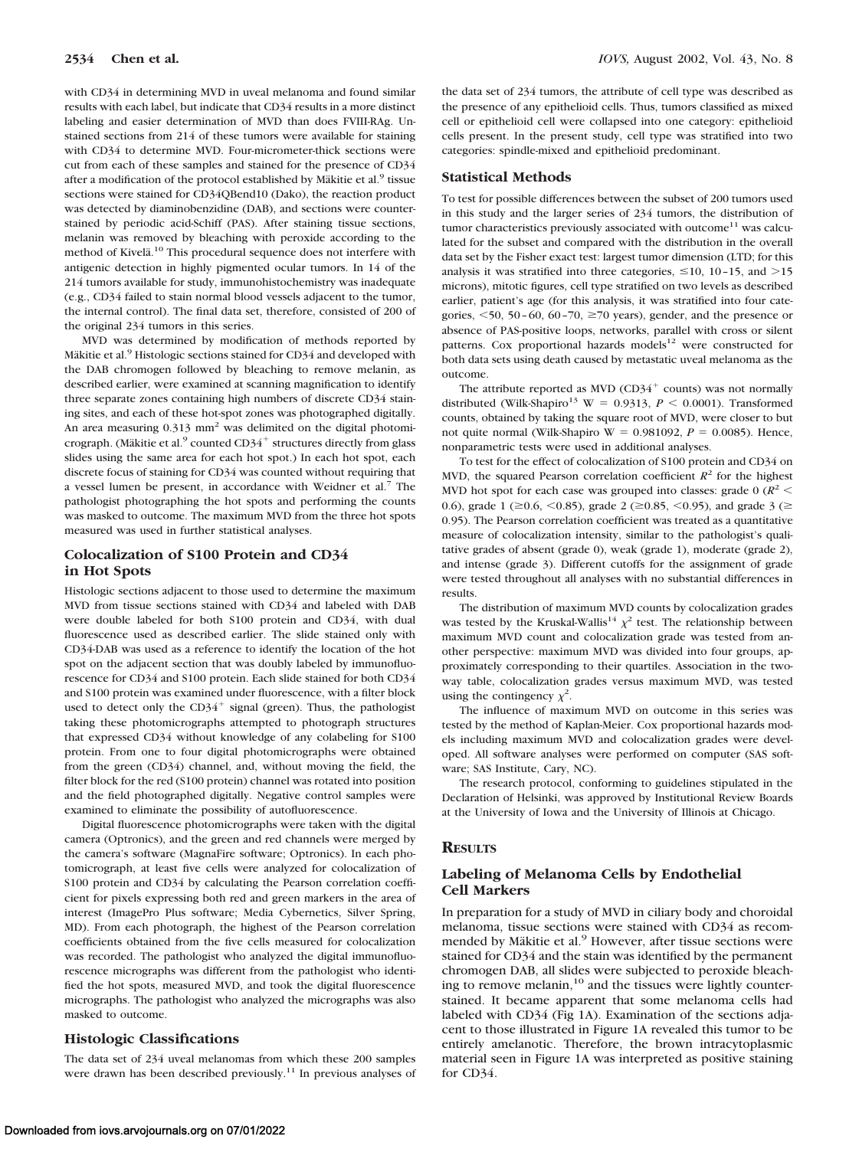with CD34 in determining MVD in uveal melanoma and found similar results with each label, but indicate that CD34 results in a more distinct labeling and easier determination of MVD than does FVIII-RAg. Unstained sections from 214 of these tumors were available for staining with CD34 to determine MVD. Four-micrometer-thick sections were cut from each of these samples and stained for the presence of CD34 after a modification of the protocol established by Mäkitie et al.<sup>9</sup> tissue sections were stained for CD34QBend10 (Dako), the reaction product was detected by diaminobenzidine (DAB), and sections were counterstained by periodic acid-Schiff (PAS). After staining tissue sections, melanin was removed by bleaching with peroxide according to the method of Kivelä.<sup>10</sup> This procedural sequence does not interfere with antigenic detection in highly pigmented ocular tumors. In 14 of the 214 tumors available for study, immunohistochemistry was inadequate (e.g., CD34 failed to stain normal blood vessels adjacent to the tumor, the internal control). The final data set, therefore, consisted of 200 of the original 234 tumors in this series.

MVD was determined by modification of methods reported by Mäkitie et al.<sup>9</sup> Histologic sections stained for CD34 and developed with the DAB chromogen followed by bleaching to remove melanin, as described earlier, were examined at scanning magnification to identify three separate zones containing high numbers of discrete CD34 staining sites, and each of these hot-spot zones was photographed digitally. An area measuring  $0.313$  mm<sup>2</sup> was delimited on the digital photomicrograph. (Mäkitie et al. $^9$  counted CD34<sup>+</sup> structures directly from glass slides using the same area for each hot spot.) In each hot spot, each discrete focus of staining for CD34 was counted without requiring that a vessel lumen be present, in accordance with Weidner et al.<sup>7</sup> The pathologist photographing the hot spots and performing the counts was masked to outcome. The maximum MVD from the three hot spots measured was used in further statistical analyses.

### **Colocalization of S100 Protein and CD34 in Hot Spots**

Histologic sections adjacent to those used to determine the maximum MVD from tissue sections stained with CD34 and labeled with DAB were double labeled for both S100 protein and CD34, with dual fluorescence used as described earlier. The slide stained only with CD34-DAB was used as a reference to identify the location of the hot spot on the adjacent section that was doubly labeled by immunofluorescence for CD34 and S100 protein. Each slide stained for both CD34 and S100 protein was examined under fluorescence, with a filter block used to detect only the  $CD34^+$  signal (green). Thus, the pathologist taking these photomicrographs attempted to photograph structures that expressed CD34 without knowledge of any colabeling for S100 protein. From one to four digital photomicrographs were obtained from the green (CD34) channel, and, without moving the field, the filter block for the red (S100 protein) channel was rotated into position and the field photographed digitally. Negative control samples were examined to eliminate the possibility of autofluorescence.

Digital fluorescence photomicrographs were taken with the digital camera (Optronics), and the green and red channels were merged by the camera's software (MagnaFire software; Optronics). In each photomicrograph, at least five cells were analyzed for colocalization of S100 protein and CD34 by calculating the Pearson correlation coefficient for pixels expressing both red and green markers in the area of interest (ImagePro Plus software; Media Cybernetics, Silver Spring, MD). From each photograph, the highest of the Pearson correlation coefficients obtained from the five cells measured for colocalization was recorded. The pathologist who analyzed the digital immunofluorescence micrographs was different from the pathologist who identified the hot spots, measured MVD, and took the digital fluorescence micrographs. The pathologist who analyzed the micrographs was also masked to outcome.

#### **Histologic Classifications**

The data set of 234 uveal melanomas from which these 200 samples were drawn has been described previously.<sup>11</sup> In previous analyses of the data set of 234 tumors, the attribute of cell type was described as the presence of any epithelioid cells. Thus, tumors classified as mixed cell or epithelioid cell were collapsed into one category: epithelioid cells present. In the present study, cell type was stratified into two categories: spindle-mixed and epithelioid predominant.

#### **Statistical Methods**

To test for possible differences between the subset of 200 tumors used in this study and the larger series of 234 tumors, the distribution of tumor characteristics previously associated with outcome $^{11}$  was calculated for the subset and compared with the distribution in the overall data set by the Fisher exact test: largest tumor dimension (LTD; for this analysis it was stratified into three categories,  $\leq 10$ , 10-15, and  $>15$ microns), mitotic figures, cell type stratified on two levels as described earlier, patient's age (for this analysis, it was stratified into four categories,  $\leq$  50, 50 – 60, 60 – 70,  $\geq$  70 years), gender, and the presence or absence of PAS-positive loops, networks, parallel with cross or silent patterns. Cox proportional hazards models $12$  were constructed for both data sets using death caused by metastatic uveal melanoma as the outcome.

The attribute reported as MVD (CD34 $^+$  counts) was not normally distributed (Wilk-Shapiro<sup>13</sup> W = 0.9313,  $P \le 0.0001$ ). Transformed counts, obtained by taking the square root of MVD, were closer to but not quite normal (Wilk-Shapiro W =  $0.981092$ ,  $P = 0.0085$ ). Hence, nonparametric tests were used in additional analyses.

To test for the effect of colocalization of S100 protein and CD34 on MVD, the squared Pearson correlation coefficient  $R^2$  for the highest MVD hot spot for each case was grouped into classes: grade  $0 \frac{R^2}{\epsilon}$ 0.6), grade 1 ( $\geq$  0.6, < 0.85), grade 2 ( $\geq$  0.85, < 0.95), and grade 3 ( $\geq$ 0.95). The Pearson correlation coefficient was treated as a quantitative measure of colocalization intensity, similar to the pathologist's qualitative grades of absent (grade 0), weak (grade 1), moderate (grade 2), and intense (grade 3). Different cutoffs for the assignment of grade were tested throughout all analyses with no substantial differences in results.

The distribution of maximum MVD counts by colocalization grades was tested by the Kruskal-Wallis<sup>14</sup>  $\chi^2$  test. The relationship between maximum MVD count and colocalization grade was tested from another perspective: maximum MVD was divided into four groups, approximately corresponding to their quartiles. Association in the twoway table, colocalization grades versus maximum MVD, was tested using the contingency  $\chi^2$ .

The influence of maximum MVD on outcome in this series was tested by the method of Kaplan-Meier. Cox proportional hazards models including maximum MVD and colocalization grades were developed. All software analyses were performed on computer (SAS software; SAS Institute, Cary, NC).

The research protocol, conforming to guidelines stipulated in the Declaration of Helsinki, was approved by Institutional Review Boards at the University of Iowa and the University of Illinois at Chicago.

#### **RESULTS**

## **Labeling of Melanoma Cells by Endothelial Cell Markers**

In preparation for a study of MVD in ciliary body and choroidal melanoma, tissue sections were stained with CD34 as recommended by Mäkitie et al.<sup>9</sup> However, after tissue sections were stained for CD34 and the stain was identified by the permanent chromogen DAB, all slides were subjected to peroxide bleaching to remove melanin,<sup>10</sup> and the tissues were lightly counterstained. It became apparent that some melanoma cells had labeled with CD34 (Fig 1A). Examination of the sections adjacent to those illustrated in Figure 1A revealed this tumor to be entirely amelanotic. Therefore, the brown intracytoplasmic material seen in Figure 1A was interpreted as positive staining for CD34.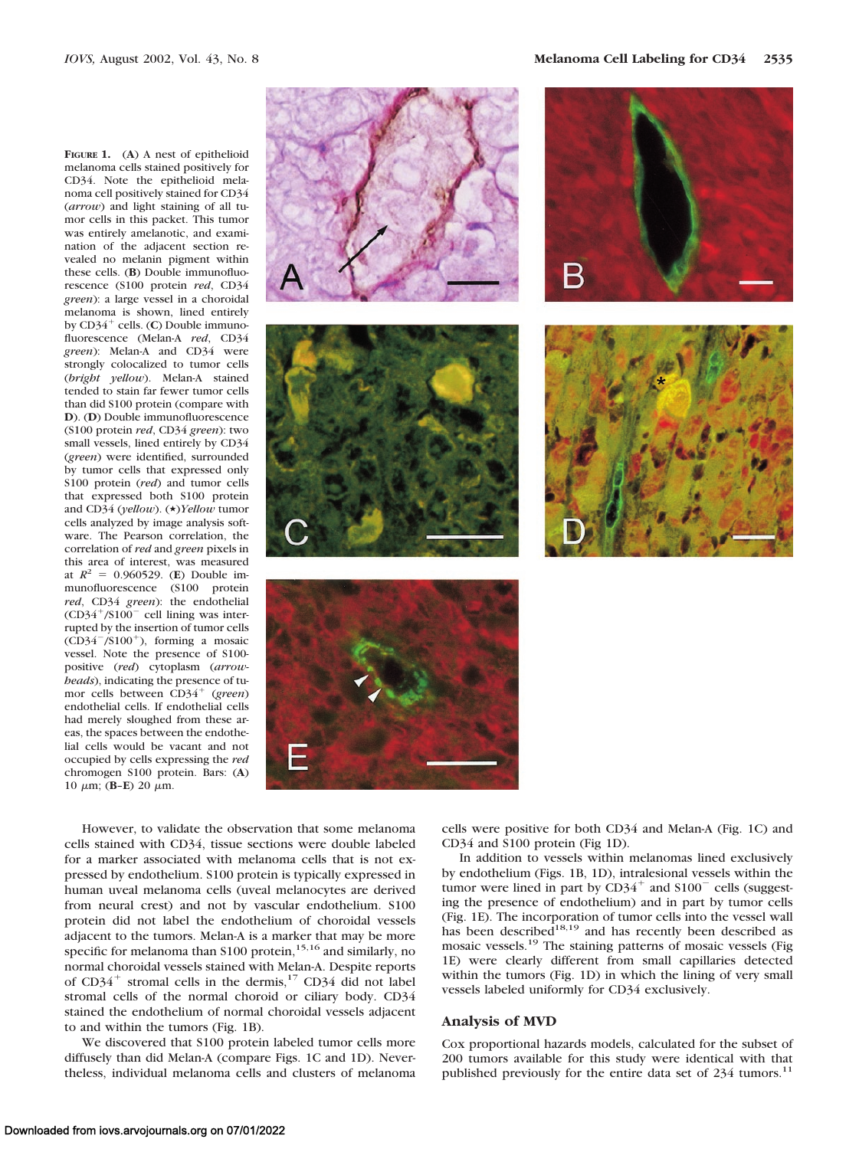**FIGURE 1.** (**A**) A nest of epithelioid melanoma cells stained positively for CD34. Note the epithelioid melanoma cell positively stained for CD34 (*arrow*) and light staining of all tumor cells in this packet. This tumor was entirely amelanotic, and examination of the adjacent section revealed no melanin pigment within these cells. (**B**) Double immunofluorescence (S100 protein *red*, CD34 *green*): a large vessel in a choroidal melanoma is shown, lined entirely by CD34<sup>+</sup> cells. (**C**) Double immunofluorescence (Melan-A *red*, CD34 *green*): Melan-A and CD34 were strongly colocalized to tumor cells (*bright yellow*). Melan-A stained tended to stain far fewer tumor cells than did S100 protein (compare with **D**). (**D**) Double immunofluorescence (S100 protein *red*, CD34 *green*): two small vessels, lined entirely by CD34 (*green*) were identified, surrounded by tumor cells that expressed only S100 protein (*red*) and tumor cells that expressed both S100 protein and CD34 (*yellow*). (\*)*Yellow* tumor cells analyzed by image analysis software. The Pearson correlation, the correlation of *red* and *green* pixels in this area of interest, was measured at  $R^2 = 0.960529$ . (**E**) Double immunofluorescence (S100 protein *red*, CD34 *green*): the endothelial  $(CD34+}/S100$ <sup>-</sup> cell lining was interrupted by the insertion of tumor cells  $\overrightarrow{CD34}^{-}/\overrightarrow{5100}^+$ ), forming a mosaic vessel. Note the presence of S100 positive (*red*) cytoplasm (*arrowheads*), indicating the presence of tumor cells between CD34- (*green*) endothelial cells. If endothelial cells had merely sloughed from these areas, the spaces between the endothelial cells would be vacant and not occupied by cells expressing the *red* chromogen S100 protein. Bars: (**A**) 10  $\mu$ m; (**B-E**) 20  $\mu$ m.



However, to validate the observation that some melanoma cells stained with CD34, tissue sections were double labeled for a marker associated with melanoma cells that is not expressed by endothelium. S100 protein is typically expressed in human uveal melanoma cells (uveal melanocytes are derived from neural crest) and not by vascular endothelium. S100 protein did not label the endothelium of choroidal vessels adjacent to the tumors. Melan-A is a marker that may be more specific for melanoma than S100 protein,<sup>15,16</sup> and similarly, no normal choroidal vessels stained with Melan-A. Despite reports of CD34<sup>+</sup> stromal cells in the dermis,<sup>17</sup> CD34 did not label stromal cells of the normal choroid or ciliary body. CD34 stained the endothelium of normal choroidal vessels adjacent to and within the tumors (Fig. 1B).

We discovered that S100 protein labeled tumor cells more diffusely than did Melan-A (compare Figs. 1C and 1D). Nevertheless, individual melanoma cells and clusters of melanoma cells were positive for both CD34 and Melan-A (Fig. 1C) and CD34 and S100 protein (Fig 1D).

In addition to vessels within melanomas lined exclusively by endothelium (Figs. 1B, 1D), intralesional vessels within the tumor were lined in part by  $CD34^+$  and  $S100^-$  cells (suggesting the presence of endothelium) and in part by tumor cells (Fig. 1E). The incorporation of tumor cells into the vessel wall<br>has been described<sup>18,19</sup> and has recently been described as mosaic vessels.19 The staining patterns of mosaic vessels (Fig 1E) were clearly different from small capillaries detected within the tumors (Fig. 1D) in which the lining of very small vessels labeled uniformly for CD34 exclusively.

#### **Analysis of MVD**

Cox proportional hazards models, calculated for the subset of 200 tumors available for this study were identical with that published previously for the entire data set of 234 tumors.<sup>11</sup>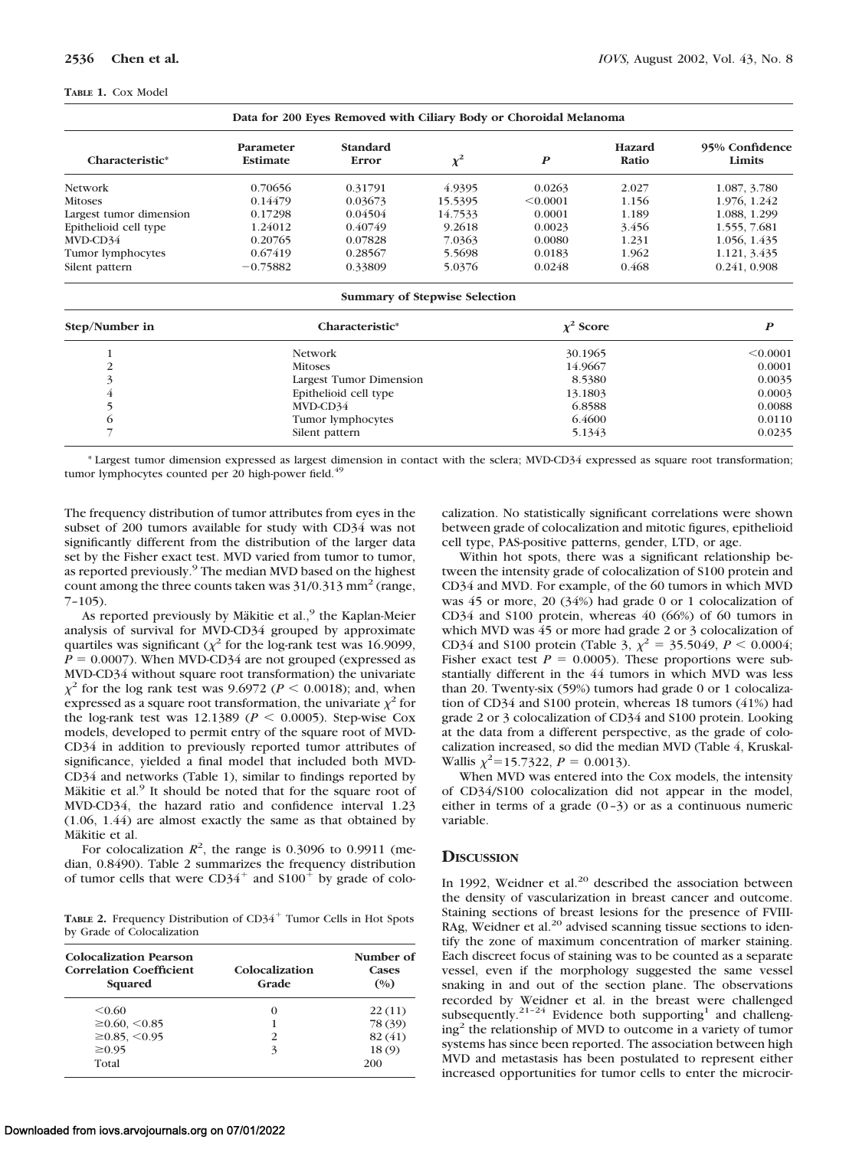#### **TABLE 1.** Cox Model

| Characteristic*         | Parameter<br>Estimate | <b>Standard</b><br>Error | $\chi^2$ | $\boldsymbol{P}$ | <b>Hazard</b><br>Ratio | 95% Confidence<br>Limits |
|-------------------------|-----------------------|--------------------------|----------|------------------|------------------------|--------------------------|
| <b>Network</b>          | 0.70656               | 0.31791                  | 4.9395   | 0.0263           | 2.027                  | 1.087, 3.780             |
| <b>Mitoses</b>          | 0.14479               | 0.03673                  | 15.5395  | < 0.0001         | 1.156                  | 1.976, 1.242             |
| Largest tumor dimension | 0.17298               | 0.04504                  | 14.7533  | 0.0001           | 1.189                  | 1.088, 1.299             |
| Epithelioid cell type   | 1.24012               | 0.40749                  | 9.2618   | 0.0023           | 3.456                  | 1.555, 7.681             |
| MVD-CD34                | 0.20765               | 0.07828                  | 7.0363   | 0.0080           | 1.231                  | 1.056, 1.435             |
| Tumor lymphocytes       | 0.67419               | 0.28567                  | 5.5698   | 0.0183           | 1.962                  | 1.121, 3.435             |
| Silent pattern          | $-0.75882$            | 0.33809                  | 5.0376   | 0.0248           | 0.468                  | 0.241, 0.908             |

| Step/Number in | Characteristic*         | $\chi^2$ Score |          |  |
|----------------|-------------------------|----------------|----------|--|
|                | Network                 | 30.1965        | < 0.0001 |  |
| 2              | <b>Mitoses</b>          | 14.9667        | 0.0001   |  |
|                | Largest Tumor Dimension | 8.5380         | 0.0035   |  |
| 4              | Epithelioid cell type   | 13.1803        | 0.0003   |  |
|                | MVD-CD34                | 6.8588         | 0.0088   |  |
| O              | Tumor lymphocytes       | 6.4600         | 0.0110   |  |
|                | Silent pattern          | 5.1343         | 0.0235   |  |

\* Largest tumor dimension expressed as largest dimension in contact with the sclera; MVD-CD34 expressed as square root transformation; tumor lymphocytes counted per 20 high-power field.<sup>49</sup>

The frequency distribution of tumor attributes from eyes in the subset of 200 tumors available for study with CD34 was not significantly different from the distribution of the larger data set by the Fisher exact test. MVD varied from tumor to tumor, as reported previously.<sup>9</sup> The median MVD based on the highest count among the three counts taken was  $31/0.313$  mm<sup>2</sup> (range, 7–105).

As reported previously by Mäkitie et al., $9$  the Kaplan-Meier analysis of survival for MVD-CD34 grouped by approximate quartiles was significant ( $\chi^2$  for the log-rank test was 16.9099,  $P = 0.0007$ ). When MVD-CD34 are not grouped (expressed as MVD-CD34 without square root transformation) the univariate  $\chi^2$  for the log rank test was 9.6972 ( $P < 0.0018$ ); and, when expressed as a square root transformation, the univariate  $\chi^2$  for the log-rank test was 12.1389 ( $P < 0.0005$ ). Step-wise Cox models, developed to permit entry of the square root of MVD-CD34 in addition to previously reported tumor attributes of significance, yielded a final model that included both MVD-CD34 and networks (Table 1), similar to findings reported by Mäkitie et al. $9$  It should be noted that for the square root of MVD-CD34, the hazard ratio and confidence interval 1.23 (1.06, 1.44) are almost exactly the same as that obtained by Mäkitie et al.

For colocalization  $R^2$ , the range is 0.3096 to 0.9911 (median, 0.8490). Table 2 summarizes the frequency distribution of tumor cells that were  $CD34^+$  and  $S100^+$  by grade of colo-

TABLE 2. Frequency Distribution of CD34<sup>+</sup> Tumor Cells in Hot Spots by Grade of Colocalization

| Colocalization Pearson<br><b>Correlation Coefficient</b><br>Squared | Colocalization<br>Grade | Number of<br><b>Cases</b><br>(0/0) |
|---------------------------------------------------------------------|-------------------------|------------------------------------|
| < 0.60                                                              | 0                       | 22(11)                             |
| $\geq 0.60, \leq 0.85$                                              |                         | 78 (39)                            |
| $\geq$ 0.85, <0.95                                                  | $\mathcal{P}$           | 82 (41)                            |
| $\geq 0.95$                                                         | 3                       | 18(9)                              |
| Total                                                               |                         | 200                                |

calization. No statistically significant correlations were shown between grade of colocalization and mitotic figures, epithelioid cell type, PAS-positive patterns, gender, LTD, or age.

Within hot spots, there was a significant relationship between the intensity grade of colocalization of S100 protein and CD34 and MVD. For example, of the 60 tumors in which MVD was 45 or more, 20 (34%) had grade 0 or 1 colocalization of CD34 and S100 protein, whereas 40 (66%) of 60 tumors in which MVD was 45 or more had grade 2 or 3 colocalization of CD34 and S100 protein (Table 3,  $\chi^2 = 35.5049$ ,  $P < 0.0004$ ; Fisher exact test  $P = 0.0005$ ). These proportions were substantially different in the 44 tumors in which MVD was less than 20. Twenty-six (59%) tumors had grade 0 or 1 colocalization of CD34 and S100 protein, whereas 18 tumors (41%) had grade 2 or 3 colocalization of CD34 and S100 protein. Looking at the data from a different perspective, as the grade of colocalization increased, so did the median MVD (Table 4, Kruskal-Wallis  $\chi^2$ =15.7322,  $P = 0.0013$ ).

When MVD was entered into the Cox models, the intensity of CD34/S100 colocalization did not appear in the model, either in terms of a grade  $(0-3)$  or as a continuous numeric variable.

#### **DISCUSSION**

In 1992, Weidner et al.<sup>20</sup> described the association between the density of vascularization in breast cancer and outcome. Staining sections of breast lesions for the presence of FVIII-RAg, Weidner et al.<sup>20</sup> advised scanning tissue sections to identify the zone of maximum concentration of marker staining. Each discreet focus of staining was to be counted as a separate vessel, even if the morphology suggested the same vessel snaking in and out of the section plane. The observations recorded by Weidner et al. in the breast were challenged subsequently.<sup>21–24</sup> Evidence both supporting<sup>1</sup> and challeng $ing<sup>2</sup>$  the relationship of MVD to outcome in a variety of tumor systems has since been reported. The association between high MVD and metastasis has been postulated to represent either increased opportunities for tumor cells to enter the microcir-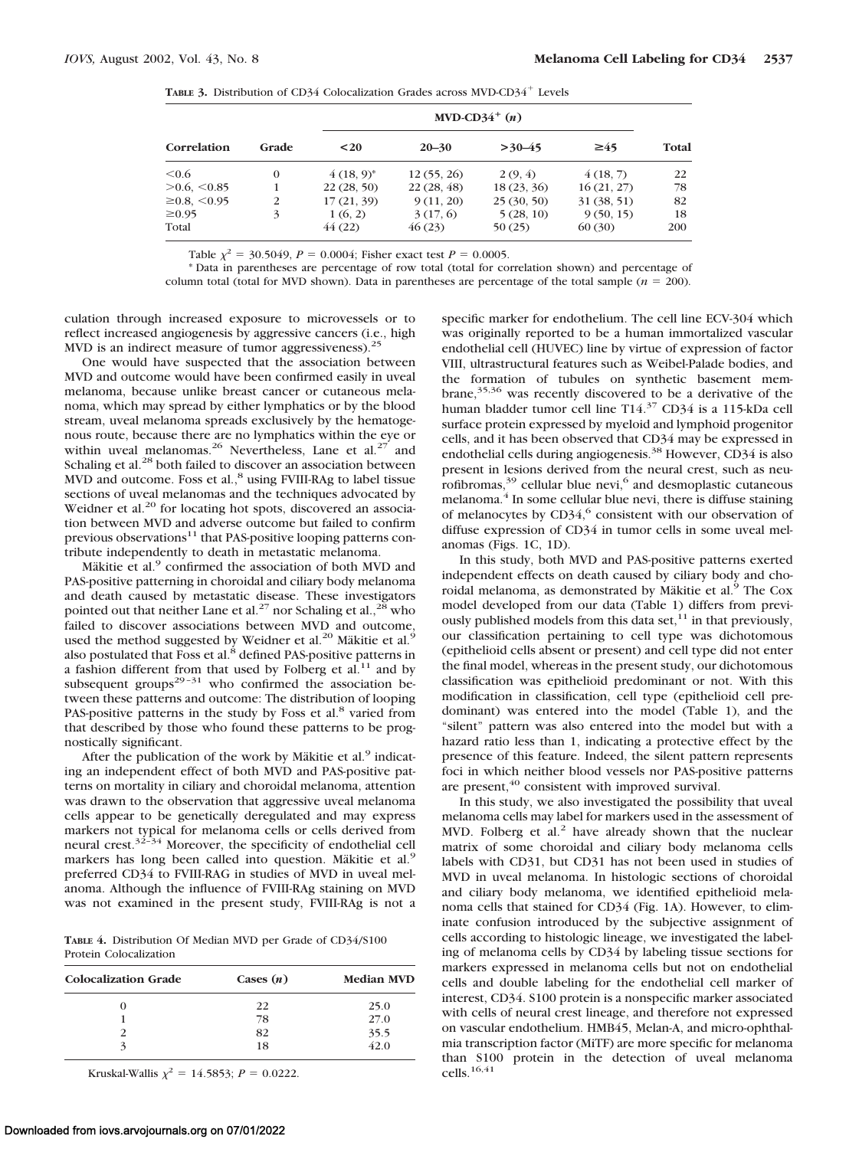TABLE 3. Distribution of CD34 Colocalization Grades across MVD-CD34<sup>+</sup> Levels

| Correlation           |          | MVD-CD34 <sup>+</sup> $(n)$ |            |            |            |       |
|-----------------------|----------|-----------------------------|------------|------------|------------|-------|
|                       | Grade    | $20$                        | $20 - 30$  | $>30-45$   | $\geq 45$  | Total |
| $\leq 0.6$            | $\Omega$ | $(18, 9)^*$                 | 12(55, 26) | 2(9, 4)    | 4(18, 7)   | 22    |
| $>0.6, \leq 0.85$     |          | 22(28, 50)                  | 22(28, 48) | 18(23, 36) | 16(21, 27) | 78    |
| $\geq 0.8, \leq 0.95$ | 2        | 17(21, 39)                  | 9(11, 20)  | 25(30, 50) | 31(38, 51) | 82    |
| $\geq 0.95$           | 3        | 1(6, 2)                     | 3(17, 6)   | 5(28, 10)  | 9(50, 15)  | 18    |
| Total                 |          | 44(22)                      | 46(23)     | 50(25)     | 60(30)     | 200   |

Table  $\chi^2$  = 30.5049, *P* = 0.0004; Fisher exact test *P* = 0.0005.

\* Data in parentheses are percentage of row total (total for correlation shown) and percentage of column total (total for MVD shown). Data in parentheses are percentage of the total sample ( $n = 200$ ).

culation through increased exposure to microvessels or to reflect increased angiogenesis by aggressive cancers (i.e., high MVD is an indirect measure of tumor aggressiveness).<sup>2</sup>

One would have suspected that the association between MVD and outcome would have been confirmed easily in uveal melanoma, because unlike breast cancer or cutaneous melanoma, which may spread by either lymphatics or by the blood stream, uveal melanoma spreads exclusively by the hematogenous route, because there are no lymphatics within the eye or within uveal melanomas.<sup>26</sup> Nevertheless, Lane et al.<sup>27</sup> and Schaling et al.<sup>28</sup> both failed to discover an association between MVD and outcome. Foss et al.,<sup>8</sup> using FVIII-RAg to label tissue sections of uveal melanomas and the techniques advocated by Weidner et al.<sup>20</sup> for locating hot spots, discovered an association between MVD and adverse outcome but failed to confirm previous observations $11$  that PAS-positive looping patterns contribute independently to death in metastatic melanoma.

Mäkitie et al.<sup>9</sup> confirmed the association of both MVD and PAS-positive patterning in choroidal and ciliary body melanoma and death caused by metastatic disease. These investigators pointed out that neither Lane et al.<sup>27</sup> nor Schaling et al.,<sup>28</sup> who failed to discover associations between MVD and outcome, used the method suggested by Weidner et al.<sup>20</sup> Mäkitie et al.<sup>9</sup> also postulated that Foss et al.<sup>8</sup> defined PAS-positive patterns in a fashion different from that used by Folberg et al.<sup>11</sup> and by subsequent groups<sup>29-31</sup> who confirmed the association between these patterns and outcome: The distribution of looping PAS-positive patterns in the study by Foss et al.<sup>8</sup> varied from that described by those who found these patterns to be prognostically significant.

After the publication of the work by Mäkitie et al. $9$  indicating an independent effect of both MVD and PAS-positive patterns on mortality in ciliary and choroidal melanoma, attention was drawn to the observation that aggressive uveal melanoma cells appear to be genetically deregulated and may express markers not typical for melanoma cells or cells derived from neural crest.32–34 Moreover, the specificity of endothelial cell markers has long been called into question. Mäkitie et al.<sup>9</sup> preferred CD34 to FVIII-RAG in studies of MVD in uveal melanoma. Although the influence of FVIII-RAg staining on MVD was not examined in the present study, FVIII-RAg is not a

**TABLE 4.** Distribution Of Median MVD per Grade of CD34/S100 Protein Colocalization

| <b>Colocalization Grade</b> | Cases $(n)$ | <b>Median MVD</b> |  |
|-----------------------------|-------------|-------------------|--|
|                             | 22          | 25.0              |  |
|                             | 78          | 27.0              |  |
|                             | 82          |                   |  |
|                             | 18          | 35.5<br>42.0      |  |

Kruskal-Wallis  $\chi^2 = 14.5853$ ;  $P = 0.0222$ .

specific marker for endothelium. The cell line ECV-304 which was originally reported to be a human immortalized vascular endothelial cell (HUVEC) line by virtue of expression of factor VIII, ultrastructural features such as Weibel-Palade bodies, and the formation of tubules on synthetic basement membrane,<sup>35,36</sup> was recently discovered to be a derivative of the human bladder tumor cell line T14.37 CD34 is a 115-kDa cell surface protein expressed by myeloid and lymphoid progenitor cells, and it has been observed that CD34 may be expressed in endothelial cells during angiogenesis.38 However, CD34 is also present in lesions derived from the neural crest, such as neurofibromas, $39$  cellular blue nevi, $6$  and desmoplastic cutaneous melanoma.<sup>4</sup> In some cellular blue nevi, there is diffuse staining of melanocytes by  $CD34<sup>6</sup>$  consistent with our observation of diffuse expression of CD34 in tumor cells in some uveal melanomas (Figs. 1C, 1D).

In this study, both MVD and PAS-positive patterns exerted independent effects on death caused by ciliary body and choroidal melanoma, as demonstrated by Mäkitie et al.<sup>9</sup> The Cox model developed from our data (Table 1) differs from previously published models from this data set,<sup>11</sup> in that previously, our classification pertaining to cell type was dichotomous (epithelioid cells absent or present) and cell type did not enter the final model, whereas in the present study, our dichotomous classification was epithelioid predominant or not. With this modification in classification, cell type (epithelioid cell predominant) was entered into the model (Table 1), and the "silent" pattern was also entered into the model but with a hazard ratio less than 1, indicating a protective effect by the presence of this feature. Indeed, the silent pattern represents foci in which neither blood vessels nor PAS-positive patterns are present,<sup>40</sup> consistent with improved survival.

In this study, we also investigated the possibility that uveal melanoma cells may label for markers used in the assessment of MVD. Folberg et al.<sup>2</sup> have already shown that the nuclear matrix of some choroidal and ciliary body melanoma cells labels with CD31, but CD31 has not been used in studies of MVD in uveal melanoma. In histologic sections of choroidal and ciliary body melanoma, we identified epithelioid melanoma cells that stained for CD34 (Fig. 1A). However, to eliminate confusion introduced by the subjective assignment of cells according to histologic lineage, we investigated the labeling of melanoma cells by CD34 by labeling tissue sections for markers expressed in melanoma cells but not on endothelial cells and double labeling for the endothelial cell marker of interest, CD34. S100 protein is a nonspecific marker associated with cells of neural crest lineage, and therefore not expressed on vascular endothelium. HMB45, Melan-A, and micro-ophthalmia transcription factor (MiTF) are more specific for melanoma than S100 protein in the detection of uveal melanoma cells.16,41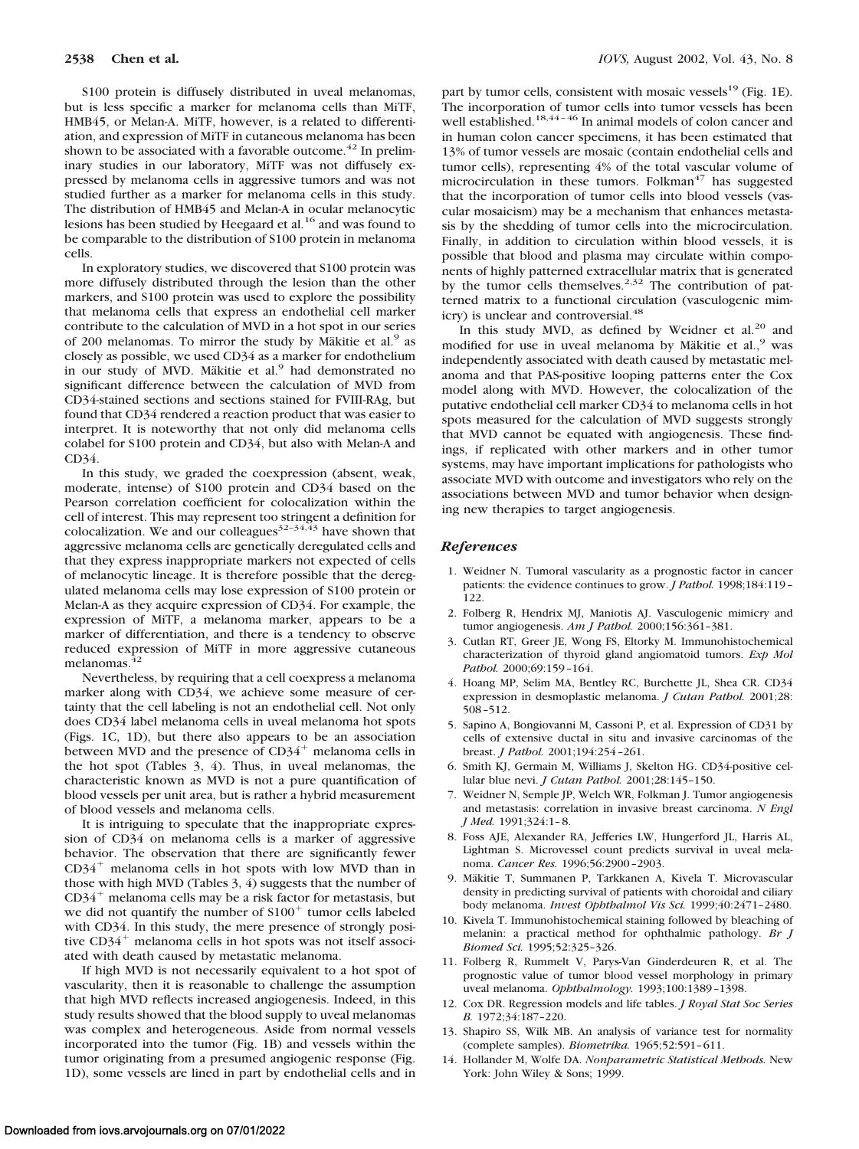S100 protein is diffusely distributed in uveal melanomas, but is less specific a marker for melanoma cells than MiTF, HMB45, or Melan-A. MiTF, however, is a related to differentiation, and expression of MiTF in cutaneous melanoma has been shown to be associated with a favorable outcome.<sup>42</sup> In preliminary studies in our laboratory, MiTF was not diffusely expressed by melanoma cells in aggressive tumors and was not studied further as a marker for melanoma cells in this study. The distribution of HMB45 and Melan-A in ocular melanocytic lesions has been studied by Heegaard et al.16 and was found to be comparable to the distribution of S100 protein in melanoma cells.

In exploratory studies, we discovered that S100 protein was more diffusely distributed through the lesion than the other markers, and S100 protein was used to explore the possibility that melanoma cells that express an endothelial cell marker contribute to the calculation of MVD in a hot spot in our series of 200 melanomas. To mirror the study by Mäkitie et al.<sup>9</sup> as closely as possible, we used CD34 as a marker for endothelium in our study of MVD. Mäkitie et al.<sup>9</sup> had demonstrated no significant difference between the calculation of MVD from CD34-stained sections and sections stained for FVIII-RAg, but found that CD34 rendered a reaction product that was easier to interpret. It is noteworthy that not only did melanoma cells colabel for S100 protein and CD34, but also with Melan-A and CD34.

In this study, we graded the coexpression (absent, weak, moderate, intense) of S100 protein and CD34 based on the Pearson correlation coefficient for colocalization within the cell of interest. This may represent too stringent a definition for colocalization. We and our colleagues $3^{2-34,43}$  have shown that aggressive melanoma cells are genetically deregulated cells and that they express inappropriate markers not expected of cells of melanocytic lineage. It is therefore possible that the deregulated melanoma cells may lose expression of S100 protein or Melan-A as they acquire expression of CD34. For example, the expression of MiTF, a melanoma marker, appears to be a marker of differentiation, and there is a tendency to observe reduced expression of MiTF in more aggressive cutaneous melanomas. $42$ 

Nevertheless, by requiring that a cell coexpress a melanoma marker along with CD34, we achieve some measure of certainty that the cell labeling is not an endothelial cell. Not only does CD34 label melanoma cells in uveal melanoma hot spots (Figs. 1C, 1D), but there also appears to be an association between MVD and the presence of  $CD34^+$  melanoma cells in the hot spot (Tables 3, 4). Thus, in uveal melanomas, the characteristic known as MVD is not a pure quantification of blood vessels per unit area, but is rather a hybrid measurement of blood vessels and melanoma cells.

It is intriguing to speculate that the inappropriate expression of CD34 on melanoma cells is a marker of aggressive behavior. The observation that there are significantly fewer CD34<sup>+</sup> melanoma cells in hot spots with low MVD than in those with high MVD (Tables 3, 4) suggests that the number of CD34<sup>+</sup> melanoma cells may be a risk factor for metastasis, but we did not quantify the number of  $S100<sup>+</sup>$  tumor cells labeled with CD34. In this study, the mere presence of strongly positive CD34<sup>+</sup> melanoma cells in hot spots was not itself associated with death caused by metastatic melanoma.

If high MVD is not necessarily equivalent to a hot spot of vascularity, then it is reasonable to challenge the assumption that high MVD reflects increased angiogenesis. Indeed, in this study results showed that the blood supply to uveal melanomas was complex and heterogeneous. Aside from normal vessels incorporated into the tumor (Fig. 1B) and vessels within the tumor originating from a presumed angiogenic response (Fig. 1D), some vessels are lined in part by endothelial cells and in part by tumor cells, consistent with mosaic vessels $^{19}$  (Fig. 1E). The incorporation of tumor cells into tumor vessels has been well established.<sup>18,44-46</sup> In animal models of colon cancer and in human colon cancer specimens, it has been estimated that 13% of tumor vessels are mosaic (contain endothelial cells and tumor cells), representing 4% of the total vascular volume of microcirculation in these tumors. Folkman $47$  has suggested that the incorporation of tumor cells into blood vessels (vascular mosaicism) may be a mechanism that enhances metastasis by the shedding of tumor cells into the microcirculation. Finally, in addition to circulation within blood vessels, it is possible that blood and plasma may circulate within components of highly patterned extracellular matrix that is generated by the tumor cells themselves.<sup>2,32</sup> The contribution of patterned matrix to a functional circulation (vasculogenic mimicry) is unclear and controversial.<sup>48</sup>

In this study MVD, as defined by Weidner et al. $20$  and modified for use in uveal melanoma by Mäkitie et al.,<sup>9</sup> was independently associated with death caused by metastatic melanoma and that PAS-positive looping patterns enter the Cox model along with MVD. However, the colocalization of the putative endothelial cell marker CD34 to melanoma cells in hot spots measured for the calculation of MVD suggests strongly that MVD cannot be equated with angiogenesis. These findings, if replicated with other markers and in other tumor systems, may have important implications for pathologists who associate MVD with outcome and investigators who rely on the associations between MVD and tumor behavior when designing new therapies to target angiogenesis.

#### *References*

- 1. Weidner N. Tumoral vascularity as a prognostic factor in cancer patients: the evidence continues to grow. *J Pathol.* 1998;184:119– 122.
- 2. Folberg R, Hendrix MJ, Maniotis AJ. Vasculogenic mimicry and tumor angiogenesis. *Am J Pathol.* 2000;156:361–381.
- 3. Cutlan RT, Greer JE, Wong FS, Eltorky M. Immunohistochemical characterization of thyroid gland angiomatoid tumors. *Exp Mol Pathol.* 2000;69:159–164.
- 4. Hoang MP, Selim MA, Bentley RC, Burchette JL, Shea CR. CD34 expression in desmoplastic melanoma. *J Cutan Pathol.* 2001;28: 508–512.
- 5. Sapino A, Bongiovanni M, Cassoni P, et al. Expression of CD31 by cells of extensive ductal in situ and invasive carcinomas of the breast. *J Pathol.* 2001;194:254–261.
- 6. Smith KJ, Germain M, Williams J, Skelton HG. CD34-positive cellular blue nevi. *J Cutan Pathol.* 2001;28:145–150.
- 7. Weidner N, Semple JP, Welch WR, Folkman J. Tumor angiogenesis and metastasis: correlation in invasive breast carcinoma. *N Engl J Med.* 1991;324:1–8.
- 8. Foss AJE, Alexander RA, Jefferies LW, Hungerford JL, Harris AL, Lightman S. Microvessel count predicts survival in uveal melanoma. *Cancer Res.* 1996;56:2900–2903.
- 9. Mäkitie T, Summanen P, Tarkkanen A, Kivela T. Microvascular density in predicting survival of patients with choroidal and ciliary body melanoma. *Invest Ophthalmol Vis Sci.* 1999;40:2471–2480.
- 10. Kivela T. Immunohistochemical staining followed by bleaching of melanin: a practical method for ophthalmic pathology. *Br J Biomed Sci.* 1995;52:325–326.
- 11. Folberg R, Rummelt V, Parys-Van Ginderdeuren R, et al. The prognostic value of tumor blood vessel morphology in primary uveal melanoma. *Ophthalmology.* 1993;100:1389–1398.
- 12. Cox DR. Regression models and life tables. *J Royal Stat Soc Series B.* 1972;34:187–220.
- 13. Shapiro SS, Wilk MB. An analysis of variance test for normality (complete samples). *Biometrika.* 1965;52:591–611.
- 14. Hollander M, Wolfe DA. *Nonparametric Statistical Methods.* New York: John Wiley & Sons; 1999.